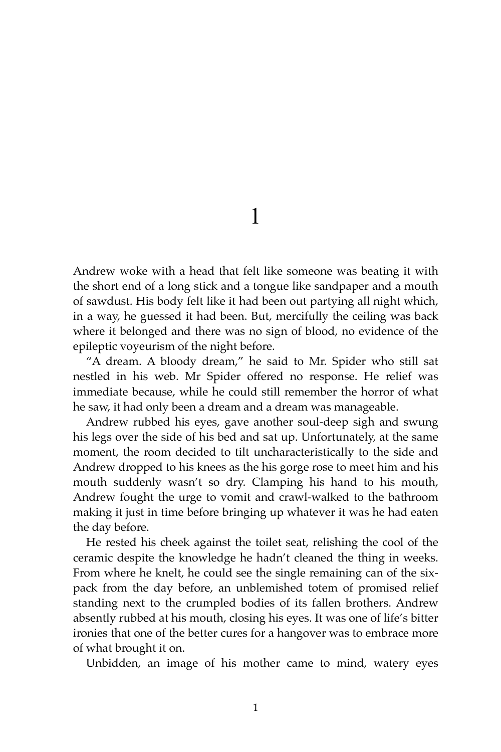1

Andrew woke with a head that felt like someone was beating it with the short end of a long stick and a tongue like sandpaper and a mouth of sawdust. His body felt like it had been out partying all night which, in a way, he guessed it had been. But, mercifully the ceiling was back where it belonged and there was no sign of blood, no evidence of the epileptic voyeurism of the night before.

"A dream. A bloody dream," he said to Mr. Spider who still sat nestled in his web. Mr Spider offered no response. He relief was immediate because, while he could still remember the horror of what he saw, it had only been a dream and a dream was manageable.

Andrew rubbed his eyes, gave another soul-deep sigh and swung his legs over the side of his bed and sat up. Unfortunately, at the same moment, the room decided to tilt uncharacteristically to the side and Andrew dropped to his knees as the his gorge rose to meet him and his mouth suddenly wasn't so dry. Clamping his hand to his mouth, Andrew fought the urge to vomit and crawl-walked to the bathroom making it just in time before bringing up whatever it was he had eaten the day before.

He rested his cheek against the toilet seat, relishing the cool of the ceramic despite the knowledge he hadn't cleaned the thing in weeks. From where he knelt, he could see the single remaining can of the sixpack from the day before, an unblemished totem of promised relief standing next to the crumpled bodies of its fallen brothers. Andrew absently rubbed at his mouth, closing his eyes. It was one of life's bitter ironies that one of the better cures for a hangover was to embrace more of what brought it on.

Unbidden, an image of his mother came to mind, watery eyes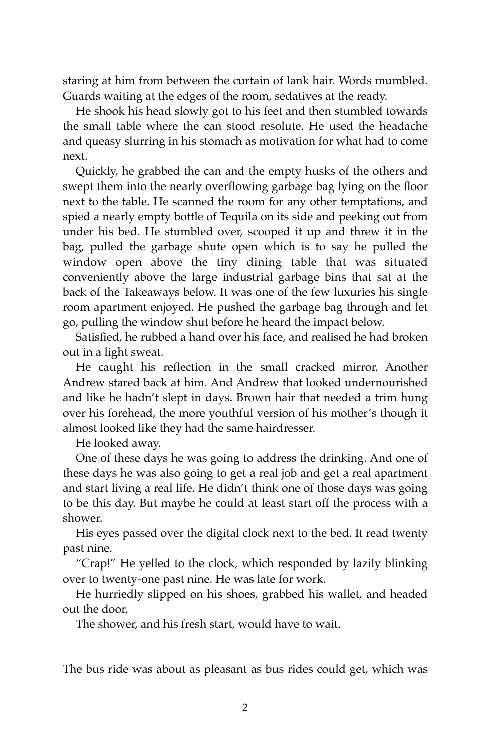staring at him from between the curtain of lank hair. Words mumbled. Guards waiting at the edges of the room, sedatives at the ready.

He shook his head slowly got to his feet and then stumbled towards the small table where the can stood resolute. He used the headache and queasy slurring in his stomach as motivation for what had to come next.

Quickly, he grabbed the can and the empty husks of the others and swept them into the nearly overflowing garbage bag lying on the floor next to the table. He scanned the room for any other temptations, and spied a nearly empty bottle of Tequila on its side and peeking out from under his bed. He stumbled over, scooped it up and threw it in the bag, pulled the garbage shute open which is to say he pulled the window open above the tiny dining table that was situated conveniently above the large industrial garbage bins that sat at the back of the Takeaways below. It was one of the few luxuries his single room apartment enjoyed. He pushed the garbage bag through and let go, pulling the window shut before he heard the impact below.

Satisfied, he rubbed a hand over his face, and realised he had broken out in a light sweat.

He caught his reflection in the small cracked mirror. Another Andrew stared back at him. And Andrew that looked undernourished and like he hadn't slept in days. Brown hair that needed a trim hung over his forehead, the more youthful version of his mother's though it almost looked like they had the same hairdresser.

He looked away.

One of these days he was going to address the drinking. And one of these days he was also going to get a real job and get a real apartment and start living a real life. He didn't think one of those days was going to be this day. But maybe he could at least start off the process with a shower.

His eyes passed over the digital clock next to the bed. It read twenty past nine.

"Crap!" He yelled to the clock, which responded by lazily blinking over to twenty-one past nine. He was late for work.

He hurriedly slipped on his shoes, grabbed his wallet, and headed out the door.

The shower, and his fresh start, would have to wait.

The bus ride was about as pleasant as bus rides could get, which was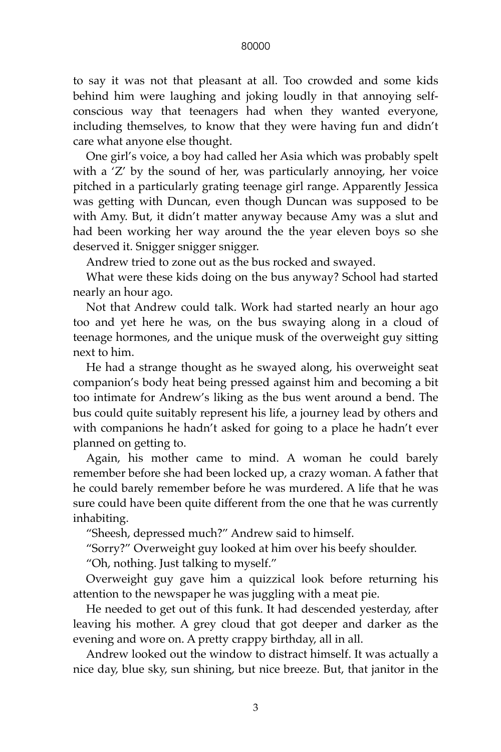## 80000

to say it was not that pleasant at all. Too crowded and some kids behind him were laughing and joking loudly in that annoying selfconscious way that teenagers had when they wanted everyone, including themselves, to know that they were having fun and didn't care what anyone else thought.

One girl's voice, a boy had called her Asia which was probably spelt with a 'Z' by the sound of her, was particularly annoying, her voice pitched in a particularly grating teenage girl range. Apparently Jessica was getting with Duncan, even though Duncan was supposed to be with Amy. But, it didn't matter anyway because Amy was a slut and had been working her way around the the year eleven boys so she deserved it. Snigger snigger snigger.

Andrew tried to zone out as the bus rocked and swayed.

What were these kids doing on the bus anyway? School had started nearly an hour ago.

Not that Andrew could talk. Work had started nearly an hour ago too and yet here he was, on the bus swaying along in a cloud of teenage hormones, and the unique musk of the overweight guy sitting next to him.

He had a strange thought as he swayed along, his overweight seat companion's body heat being pressed against him and becoming a bit too intimate for Andrew's liking as the bus went around a bend. The bus could quite suitably represent his life, a journey lead by others and with companions he hadn't asked for going to a place he hadn't ever planned on getting to.

Again, his mother came to mind. A woman he could barely remember before she had been locked up, a crazy woman. A father that he could barely remember before he was murdered. A life that he was sure could have been quite different from the one that he was currently inhabiting.

"Sheesh, depressed much?" Andrew said to himself.

"Sorry?" Overweight guy looked at him over his beefy shoulder.

"Oh, nothing. Just talking to myself."

Overweight guy gave him a quizzical look before returning his attention to the newspaper he was juggling with a meat pie.

He needed to get out of this funk. It had descended yesterday, after leaving his mother. A grey cloud that got deeper and darker as the evening and wore on. A pretty crappy birthday, all in all.

Andrew looked out the window to distract himself. It was actually a nice day, blue sky, sun shining, but nice breeze. But, that janitor in the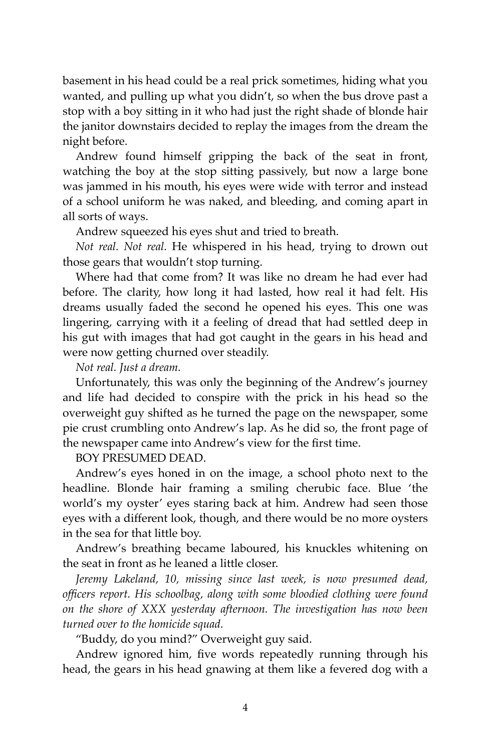basement in his head could be a real prick sometimes, hiding what you wanted, and pulling up what you didn't, so when the bus drove past a stop with a boy sitting in it who had just the right shade of blonde hair the janitor downstairs decided to replay the images from the dream the night before.

Andrew found himself gripping the back of the seat in front, watching the boy at the stop sitting passively, but now a large bone was jammed in his mouth, his eyes were wide with terror and instead of a school uniform he was naked, and bleeding, and coming apart in all sorts of ways.

Andrew squeezed his eyes shut and tried to breath.

*Not real. Not real.* He whispered in his head, trying to drown out those gears that wouldn't stop turning.

Where had that come from? It was like no dream he had ever had before. The clarity, how long it had lasted, how real it had felt. His dreams usually faded the second he opened his eyes. This one was lingering, carrying with it a feeling of dread that had settled deep in his gut with images that had got caught in the gears in his head and were now getting churned over steadily.

*Not real. Just a dream.*

Unfortunately, this was only the beginning of the Andrew's journey and life had decided to conspire with the prick in his head so the overweight guy shifted as he turned the page on the newspaper, some pie crust crumbling onto Andrew's lap. As he did so, the front page of the newspaper came into Andrew's view for the first time.

BOY PRESUMED DEAD.

Andrew's eyes honed in on the image, a school photo next to the headline. Blonde hair framing a smiling cherubic face. Blue 'the world's my oyster' eyes staring back at him. Andrew had seen those eyes with a different look, though, and there would be no more oysters in the sea for that little boy.

Andrew's breathing became laboured, his knuckles whitening on the seat in front as he leaned a little closer.

*Jeremy Lakeland, 10, missing since last week, is now presumed dead, officers report. His schoolbag, along with some bloodied clothing were found on the shore of XXX yesterday afternoon. The investigation has now been turned over to the homicide squad.* 

"Buddy, do you mind?" Overweight guy said.

Andrew ignored him, five words repeatedly running through his head, the gears in his head gnawing at them like a fevered dog with a